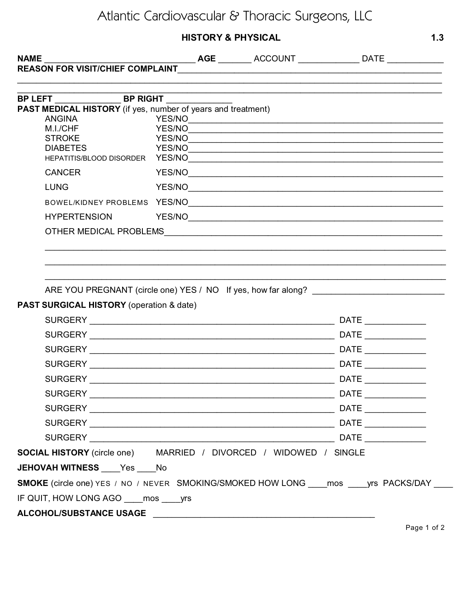## Atlantic Cardiovascular & Thoracic Surgeons, LLC

## **HISTORY & PHYSICAL**

| <b>NAME</b><br><b>REASON FOR VISIT/CHIEF COMPLAINT</b>                                        |  | <u> 1989 - Johann Barnett, fransk kongresu og den som politiker og den som politiker og den som politiker og den</u> |                                                                                   |  |  |  |
|-----------------------------------------------------------------------------------------------|--|----------------------------------------------------------------------------------------------------------------------|-----------------------------------------------------------------------------------|--|--|--|
|                                                                                               |  |                                                                                                                      |                                                                                   |  |  |  |
|                                                                                               |  |                                                                                                                      |                                                                                   |  |  |  |
| PAST MEDICAL HISTORY (if yes, number of years and treatment)                                  |  |                                                                                                                      |                                                                                   |  |  |  |
| <b>ANGINA</b><br>M.I./CHF                                                                     |  |                                                                                                                      |                                                                                   |  |  |  |
| <b>STROKE</b>                                                                                 |  |                                                                                                                      | YES/NO                                                                            |  |  |  |
| <b>DIABETES</b>                                                                               |  |                                                                                                                      |                                                                                   |  |  |  |
| <b>CANCER</b>                                                                                 |  | YES/NO                                                                                                               |                                                                                   |  |  |  |
| <b>LUNG</b>                                                                                   |  |                                                                                                                      |                                                                                   |  |  |  |
|                                                                                               |  |                                                                                                                      |                                                                                   |  |  |  |
| <b>HYPERTENSION</b>                                                                           |  |                                                                                                                      |                                                                                   |  |  |  |
|                                                                                               |  |                                                                                                                      |                                                                                   |  |  |  |
|                                                                                               |  |                                                                                                                      |                                                                                   |  |  |  |
|                                                                                               |  |                                                                                                                      |                                                                                   |  |  |  |
|                                                                                               |  |                                                                                                                      |                                                                                   |  |  |  |
|                                                                                               |  |                                                                                                                      | ARE YOU PREGNANT (circle one) YES / NO If yes, how far along? ___________________ |  |  |  |
| PAST SURGICAL HISTORY (operation & date)                                                      |  |                                                                                                                      |                                                                                   |  |  |  |
|                                                                                               |  |                                                                                                                      |                                                                                   |  |  |  |
|                                                                                               |  |                                                                                                                      |                                                                                   |  |  |  |
|                                                                                               |  |                                                                                                                      |                                                                                   |  |  |  |
|                                                                                               |  |                                                                                                                      |                                                                                   |  |  |  |
|                                                                                               |  |                                                                                                                      | DATE <b>DESIGNATION</b>                                                           |  |  |  |
|                                                                                               |  |                                                                                                                      |                                                                                   |  |  |  |
|                                                                                               |  |                                                                                                                      |                                                                                   |  |  |  |
|                                                                                               |  |                                                                                                                      |                                                                                   |  |  |  |
|                                                                                               |  |                                                                                                                      |                                                                                   |  |  |  |
| <b>SOCIAL HISTORY</b> (circle one) MARRIED / DIVORCED / WIDOWED / SINGLE                      |  |                                                                                                                      |                                                                                   |  |  |  |
| JEHOVAH WITNESS Yes No                                                                        |  |                                                                                                                      |                                                                                   |  |  |  |
| SMOKE (circle one) YES / NO / NEVER SMOKING/SMOKED HOW LONG ____ mos _____ yrs PACKS/DAY ____ |  |                                                                                                                      |                                                                                   |  |  |  |
| IF QUIT, HOW LONG AGO mos yrs                                                                 |  |                                                                                                                      |                                                                                   |  |  |  |
|                                                                                               |  |                                                                                                                      |                                                                                   |  |  |  |

Page 1 of 2

 $1.3$